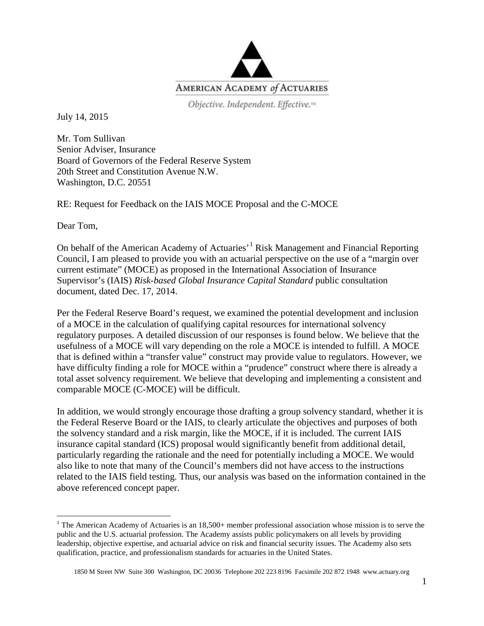

Objective. Independent. Effective.<sup>14</sup>

July 14, 2015

Mr. Tom Sullivan Senior Adviser, Insurance Board of Governors of the Federal Reserve System 20th Street and Constitution Avenue N.W. Washington, D.C. 20551

RE: Request for Feedback on the IAIS MOCE Proposal and the C-MOCE

Dear Tom,

On behalf of the American Academy of Actuaries<sup>'[1](#page-0-0)</sup> Risk Management and Financial Reporting Council, I am pleased to provide you with an actuarial perspective on the use of a "margin over current estimate" (MOCE) as proposed in the International Association of Insurance Supervisor's (IAIS) *Risk-based Global Insurance Capital Standard* public consultation document, dated Dec. 17, 2014.

Per the Federal Reserve Board's request, we examined the potential development and inclusion of a MOCE in the calculation of qualifying capital resources for international solvency regulatory purposes. A detailed discussion of our responses is found below. We believe that the usefulness of a MOCE will vary depending on the role a MOCE is intended to fulfill. A MOCE that is defined within a "transfer value" construct may provide value to regulators. However, we have difficulty finding a role for MOCE within a "prudence" construct where there is already a total asset solvency requirement. We believe that developing and implementing a consistent and comparable MOCE (C-MOCE) will be difficult.

In addition, we would strongly encourage those drafting a group solvency standard, whether it is the Federal Reserve Board or the IAIS, to clearly articulate the objectives and purposes of both the solvency standard and a risk margin, like the MOCE, if it is included. The current IAIS insurance capital standard (ICS) proposal would significantly benefit from additional detail, particularly regarding the rationale and the need for potentially including a MOCE. We would also like to note that many of the Council's members did not have access to the instructions related to the IAIS field testing. Thus, our analysis was based on the information contained in the above referenced concept paper.

<span id="page-0-0"></span><sup>&</sup>lt;sup>1</sup> The American Academy of Actuaries is an  $18,500+$  member professional association whose mission is to serve the public and the U.S. actuarial profession. The Academy assists public policymakers on all levels by providing leadership, objective expertise, and actuarial advice on risk and financial security issues. The Academy also sets qualification, practice, and professionalism standards for actuaries in the United States.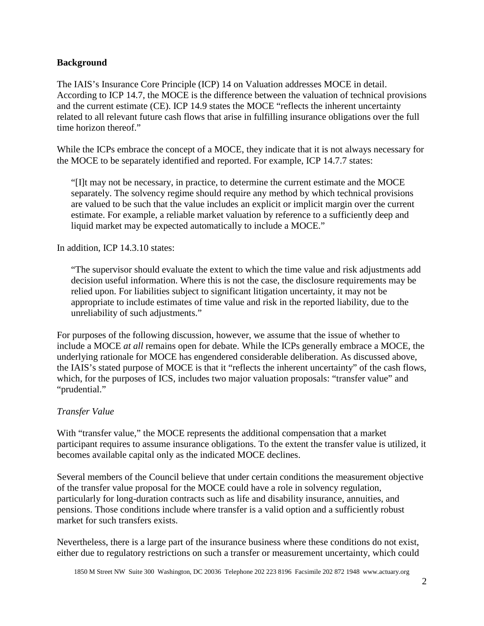#### **Background**

The IAIS's Insurance Core Principle (ICP) 14 on Valuation addresses MOCE in detail. According to ICP 14.7, the MOCE is the difference between the valuation of technical provisions and the current estimate (CE). ICP 14.9 states the MOCE "reflects the inherent uncertainty related to all relevant future cash flows that arise in fulfilling insurance obligations over the full time horizon thereof."

While the ICPs embrace the concept of a MOCE, they indicate that it is not always necessary for the MOCE to be separately identified and reported. For example, ICP 14.7.7 states:

"[I]t may not be necessary, in practice, to determine the current estimate and the MOCE separately. The solvency regime should require any method by which technical provisions are valued to be such that the value includes an explicit or implicit margin over the current estimate. For example, a reliable market valuation by reference to a sufficiently deep and liquid market may be expected automatically to include a MOCE."

In addition, ICP 14.3.10 states:

"The supervisor should evaluate the extent to which the time value and risk adjustments add decision useful information. Where this is not the case, the disclosure requirements may be relied upon. For liabilities subject to significant litigation uncertainty, it may not be appropriate to include estimates of time value and risk in the reported liability, due to the unreliability of such adjustments."

For purposes of the following discussion, however, we assume that the issue of whether to include a MOCE *at all* remains open for debate. While the ICPs generally embrace a MOCE, the underlying rationale for MOCE has engendered considerable deliberation. As discussed above, the IAIS's stated purpose of MOCE is that it "reflects the inherent uncertainty" of the cash flows, which, for the purposes of ICS, includes two major valuation proposals: "transfer value" and "prudential."

#### *Transfer Value*

With "transfer value," the MOCE represents the additional compensation that a market participant requires to assume insurance obligations. To the extent the transfer value is utilized, it becomes available capital only as the indicated MOCE declines.

Several members of the Council believe that under certain conditions the measurement objective of the transfer value proposal for the MOCE could have a role in solvency regulation, particularly for long-duration contracts such as life and disability insurance, annuities, and pensions. Those conditions include where transfer is a valid option and a sufficiently robust market for such transfers exists.

Nevertheless, there is a large part of the insurance business where these conditions do not exist, either due to regulatory restrictions on such a transfer or measurement uncertainty, which could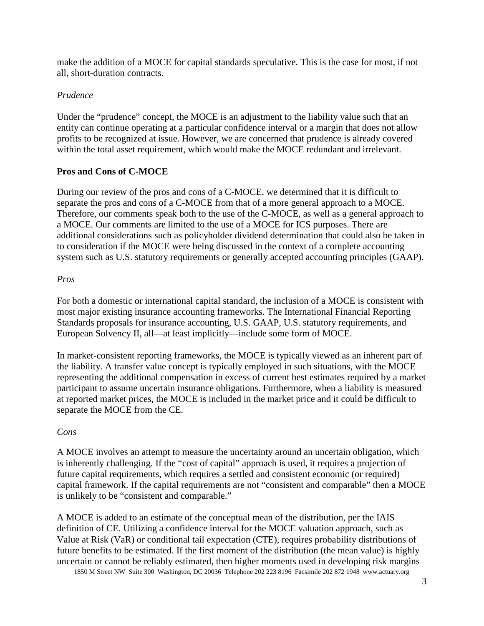make the addition of a MOCE for capital standards speculative. This is the case for most, if not all, short-duration contracts.

### *Prudence*

Under the "prudence" concept, the MOCE is an adjustment to the liability value such that an entity can continue operating at a particular confidence interval or a margin that does not allow profits to be recognized at issue. However, we are concerned that prudence is already covered within the total asset requirement, which would make the MOCE redundant and irrelevant.

### **Pros and Cons of C-MOCE**

During our review of the pros and cons of a C-MOCE, we determined that it is difficult to separate the pros and cons of a C-MOCE from that of a more general approach to a MOCE. Therefore, our comments speak both to the use of the C-MOCE, as well as a general approach to a MOCE. Our comments are limited to the use of a MOCE for ICS purposes. There are additional considerations such as policyholder dividend determination that could also be taken in to consideration if the MOCE were being discussed in the context of a complete accounting system such as U.S. statutory requirements or generally accepted accounting principles (GAAP).

#### *Pros*

For both a domestic or international capital standard, the inclusion of a MOCE is consistent with most major existing insurance accounting frameworks. The International Financial Reporting Standards proposals for insurance accounting, U.S. GAAP, U.S. statutory requirements, and European Solvency II, all—at least implicitly—include some form of MOCE.

In market-consistent reporting frameworks, the MOCE is typically viewed as an inherent part of the liability. A transfer value concept is typically employed in such situations, with the MOCE representing the additional compensation in excess of current best estimates required by a market participant to assume uncertain insurance obligations. Furthermore, when a liability is measured at reported market prices, the MOCE is included in the market price and it could be difficult to separate the MOCE from the CE.

### *Cons*

A MOCE involves an attempt to measure the uncertainty around an uncertain obligation, which is inherently challenging. If the "cost of capital" approach is used, it requires a projection of future capital requirements, which requires a settled and consistent economic (or required) capital framework. If the capital requirements are not "consistent and comparable" then a MOCE is unlikely to be "consistent and comparable."

1850 M Street NW Suite 300 Washington, DC 20036 Telephone 202 223 8196 Facsimile 202 872 1948 www.actuary.org A MOCE is added to an estimate of the conceptual mean of the distribution, per the IAIS definition of CE. Utilizing a confidence interval for the MOCE valuation approach, such as Value at Risk (VaR) or conditional tail expectation (CTE), requires probability distributions of future benefits to be estimated. If the first moment of the distribution (the mean value) is highly uncertain or cannot be reliably estimated, then higher moments used in developing risk margins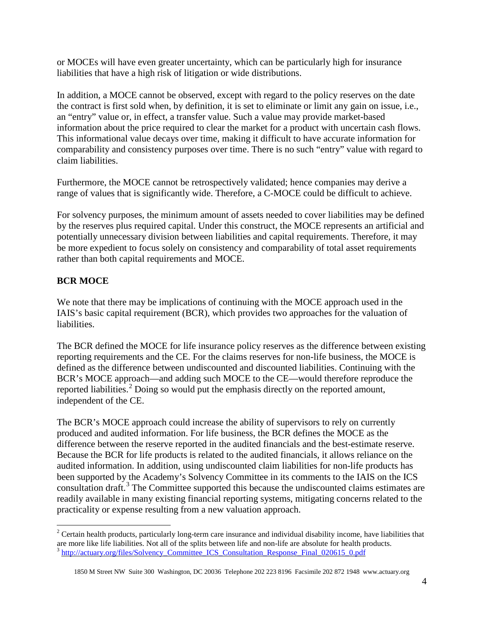or MOCEs will have even greater uncertainty, which can be particularly high for insurance liabilities that have a high risk of litigation or wide distributions.

In addition, a MOCE cannot be observed, except with regard to the policy reserves on the date the contract is first sold when, by definition, it is set to eliminate or limit any gain on issue, i.e., an "entry" value or, in effect, a transfer value. Such a value may provide market-based information about the price required to clear the market for a product with uncertain cash flows. This informational value decays over time, making it difficult to have accurate information for comparability and consistency purposes over time. There is no such "entry" value with regard to claim liabilities.

Furthermore, the MOCE cannot be retrospectively validated; hence companies may derive a range of values that is significantly wide. Therefore, a C-MOCE could be difficult to achieve.

For solvency purposes, the minimum amount of assets needed to cover liabilities may be defined by the reserves plus required capital. Under this construct, the MOCE represents an artificial and potentially unnecessary division between liabilities and capital requirements. Therefore, it may be more expedient to focus solely on consistency and comparability of total asset requirements rather than both capital requirements and MOCE.

## **BCR MOCE**

We note that there may be implications of continuing with the MOCE approach used in the IAIS's basic capital requirement (BCR), which provides two approaches for the valuation of liabilities.

The BCR defined the MOCE for life insurance policy reserves as the difference between existing reporting requirements and the CE. For the claims reserves for non-life business, the MOCE is defined as the difference between undiscounted and discounted liabilities. Continuing with the BCR's MOCE approach—and adding such MOCE to the CE—would therefore reproduce the reported liabilities.<sup>[2](#page-3-0)</sup> Doing so would put the emphasis directly on the reported amount, independent of the CE.

The BCR's MOCE approach could increase the ability of supervisors to rely on currently produced and audited information. For life business, the BCR defines the MOCE as the difference between the reserve reported in the audited financials and the best-estimate reserve. Because the BCR for life products is related to the audited financials, it allows reliance on the audited information. In addition, using undiscounted claim liabilities for non-life products has been supported by the Academy's Solvency Committee in its comments to the IAIS on the ICS consultation draft.<sup>[3](#page-3-1)</sup> The Committee supported this because the undiscounted claims estimates are readily available in many existing financial reporting systems, mitigating concerns related to the practicality or expense resulting from a new valuation approach.

<span id="page-3-1"></span><span id="page-3-0"></span> $2^2$  Certain health products, particularly long-term care insurance and individual disability income, have liabilities that are more like life liabilities. Not all of the splits between life and non-life are absolute for <sup>3</sup> [http://actuary.org/files/Solvency\\_Committee\\_ICS\\_Consultation\\_Response\\_Final\\_020615\\_0.pdf](http://actuary.org/files/Solvency_Committee_ICS_Consultation_Response_Final_020615_0.pdf)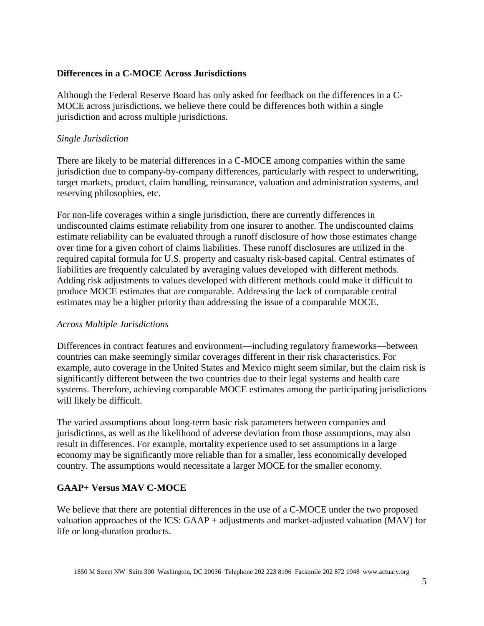#### **Differences in a C-MOCE Across Jurisdictions**

Although the Federal Reserve Board has only asked for feedback on the differences in a C-MOCE across jurisdictions, we believe there could be differences both within a single jurisdiction and across multiple jurisdictions.

#### *Single Jurisdiction*

There are likely to be material differences in a C-MOCE among companies within the same jurisdiction due to company-by-company differences, particularly with respect to underwriting, target markets, product, claim handling, reinsurance, valuation and administration systems, and reserving philosophies, etc.

For non-life coverages within a single jurisdiction, there are currently differences in undiscounted claims estimate reliability from one insurer to another. The undiscounted claims estimate reliability can be evaluated through a runoff disclosure of how those estimates change over time for a given cohort of claims liabilities. These runoff disclosures are utilized in the required capital formula for U.S. property and casualty risk-based capital. Central estimates of liabilities are frequently calculated by averaging values developed with different methods. Adding risk adjustments to values developed with different methods could make it difficult to produce MOCE estimates that are comparable. Addressing the lack of comparable central estimates may be a higher priority than addressing the issue of a comparable MOCE.

### *Across Multiple Jurisdictions*

Differences in contract features and environment—including regulatory frameworks—between countries can make seemingly similar coverages different in their risk characteristics. For example, auto coverage in the United States and Mexico might seem similar, but the claim risk is significantly different between the two countries due to their legal systems and health care systems. Therefore, achieving comparable MOCE estimates among the participating jurisdictions will likely be difficult.

The varied assumptions about long-term basic risk parameters between companies and jurisdictions, as well as the likelihood of adverse deviation from those assumptions, may also result in differences. For example, mortality experience used to set assumptions in a large economy may be significantly more reliable than for a smaller, less economically developed country. The assumptions would necessitate a larger MOCE for the smaller economy.

### **GAAP+ Versus MAV C-MOCE**

We believe that there are potential differences in the use of a C-MOCE under the two proposed valuation approaches of the ICS: GAAP + adjustments and market-adjusted valuation (MAV) for life or long-duration products.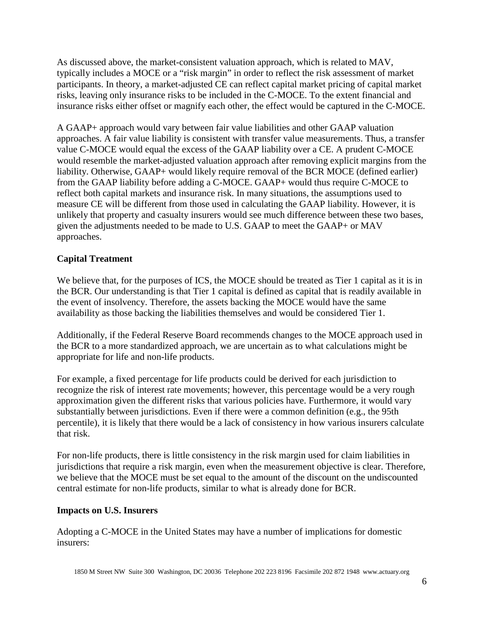As discussed above, the market-consistent valuation approach, which is related to MAV, typically includes a MOCE or a "risk margin" in order to reflect the risk assessment of market participants. In theory, a market-adjusted CE can reflect capital market pricing of capital market risks, leaving only insurance risks to be included in the C-MOCE. To the extent financial and insurance risks either offset or magnify each other, the effect would be captured in the C-MOCE.

A GAAP+ approach would vary between fair value liabilities and other GAAP valuation approaches. A fair value liability is consistent with transfer value measurements. Thus, a transfer value C-MOCE would equal the excess of the GAAP liability over a CE. A prudent C-MOCE would resemble the market-adjusted valuation approach after removing explicit margins from the liability. Otherwise, GAAP+ would likely require removal of the BCR MOCE (defined earlier) from the GAAP liability before adding a C-MOCE. GAAP+ would thus require C-MOCE to reflect both capital markets and insurance risk. In many situations, the assumptions used to measure CE will be different from those used in calculating the GAAP liability. However, it is unlikely that property and casualty insurers would see much difference between these two bases, given the adjustments needed to be made to U.S. GAAP to meet the GAAP+ or MAV approaches.

# **Capital Treatment**

We believe that, for the purposes of ICS, the MOCE should be treated as Tier 1 capital as it is in the BCR. Our understanding is that Tier 1 capital is defined as capital that is readily available in the event of insolvency. Therefore, the assets backing the MOCE would have the same availability as those backing the liabilities themselves and would be considered Tier 1.

Additionally, if the Federal Reserve Board recommends changes to the MOCE approach used in the BCR to a more standardized approach, we are uncertain as to what calculations might be appropriate for life and non-life products.

For example, a fixed percentage for life products could be derived for each jurisdiction to recognize the risk of interest rate movements; however, this percentage would be a very rough approximation given the different risks that various policies have. Furthermore, it would vary substantially between jurisdictions. Even if there were a common definition (e.g., the 95th percentile), it is likely that there would be a lack of consistency in how various insurers calculate that risk.

For non-life products, there is little consistency in the risk margin used for claim liabilities in jurisdictions that require a risk margin, even when the measurement objective is clear. Therefore, we believe that the MOCE must be set equal to the amount of the discount on the undiscounted central estimate for non-life products, similar to what is already done for BCR.

#### **Impacts on U.S. Insurers**

Adopting a C-MOCE in the United States may have a number of implications for domestic insurers: